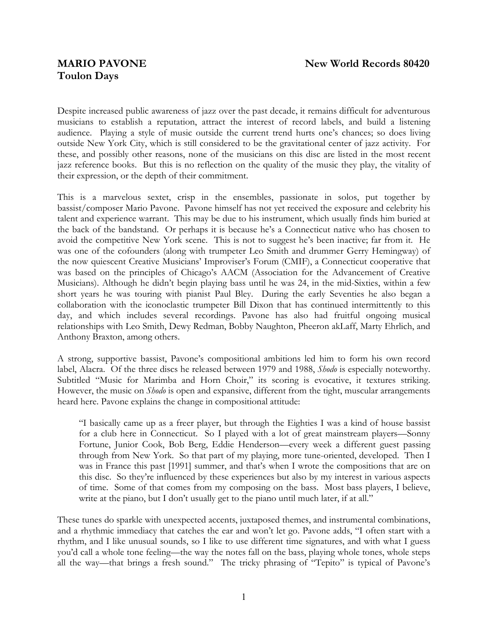## **Toulon Days**

Despite increased public awareness of jazz over the past decade, it remains difficult for adventurous musicians to establish a reputation, attract the interest of record labels, and build a listening audience. Playing a style of music outside the current trend hurts one's chances; so does living outside New York City, which is still considered to be the gravitational center of jazz activity. For these, and possibly other reasons, none of the musicians on this disc are listed in the most recent jazz reference books. But this is no reflection on the quality of the music they play, the vitality of their expression, or the depth of their commitment.

This is a marvelous sextet, crisp in the ensembles, passionate in solos, put together by bassist/composer Mario Pavone. Pavone himself has not yet received the exposure and celebrity his talent and experience warrant. This may be due to his instrument, which usually finds him buried at the back of the bandstand. Or perhaps it is because he's a Connecticut native who has chosen to avoid the competitive New York scene. This is not to suggest he's been inactive; far from it. He was one of the cofounders (along with trumpeter Leo Smith and drummer Gerry Hemingway) of the now quiescent Creative Musicians' Improviser's Forum (CMIF), a Connecticut cooperative that was based on the principles of Chicago's AACM (Association for the Advancement of Creative Musicians). Although he didn't begin playing bass until he was 24, in the mid-Sixties, within a few short years he was touring with pianist Paul Bley. During the early Seventies he also began a collaboration with the iconoclastic trumpeter Bill Dixon that has continued intermittently to this day, and which includes several recordings. Pavone has also had fruitful ongoing musical relationships with Leo Smith, Dewy Redman, Bobby Naughton, Pheeron akLaff, Marty Ehrlich, and Anthony Braxton, among others.

A strong, supportive bassist, Pavone's compositional ambitions led him to form his own record label, Alacra. Of the three discs he released between 1979 and 1988, *Shodo* is especially noteworthy. Subtitled "Music for Marimba and Horn Choir," its scoring is evocative, it textures striking. However, the music on *Shodo* is open and expansive, different from the tight, muscular arrangements heard here. Pavone explains the change in compositional attitude:

"I basically came up as a freer player, but through the Eighties I was a kind of house bassist for a club here in Connecticut. So I played with a lot of great mainstream players—Sonny Fortune, Junior Cook, Bob Berg, Eddie Henderson—every week a different guest passing through from New York. So that part of my playing, more tune-oriented, developed. Then I was in France this past [1991] summer, and that's when I wrote the compositions that are on this disc. So they're influenced by these experiences but also by my interest in various aspects of time. Some of that comes from my composing on the bass. Most bass players, I believe, write at the piano, but I don't usually get to the piano until much later, if at all."

These tunes do sparkle with unexpected accents, juxtaposed themes, and instrumental combinations, and a rhythmic immediacy that catches the ear and won't let go. Pavone adds, "I often start with a rhythm, and I like unusual sounds, so I like to use different time signatures, and with what I guess you'd call a whole tone feeling—the way the notes fall on the bass, playing whole tones, whole steps all the way—that brings a fresh sound." The tricky phrasing of "Tepito" is typical of Pavone's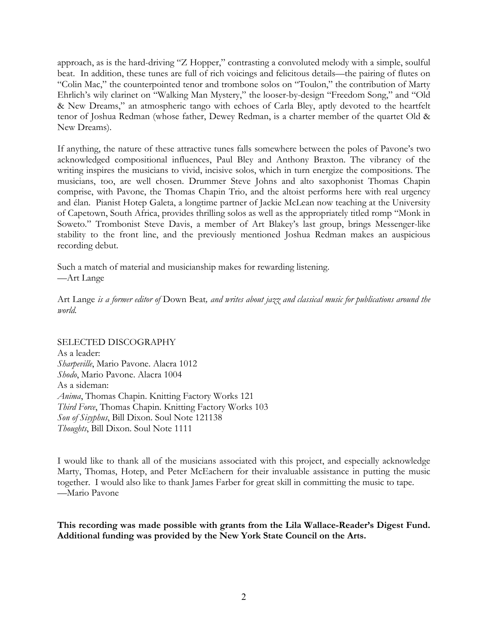approach, as is the hard-driving "Z Hopper," contrasting a convoluted melody with a simple, soulful beat. In addition, these tunes are full of rich voicings and felicitous details—the pairing of flutes on "Colin Mac," the counterpointed tenor and trombone solos on "Toulon," the contribution of Marty Ehrlich's wily clarinet on "Walking Man Mystery," the looser-by-design "Freedom Song," and "Old & New Dreams," an atmospheric tango with echoes of Carla Bley, aptly devoted to the heartfelt tenor of Joshua Redman (whose father, Dewey Redman, is a charter member of the quartet Old & New Dreams).

If anything, the nature of these attractive tunes falls somewhere between the poles of Pavone's two acknowledged compositional influences, Paul Bley and Anthony Braxton. The vibrancy of the writing inspires the musicians to vivid, incisive solos, which in turn energize the compositions. The musicians, too, are well chosen. Drummer Steve Johns and alto saxophonist Thomas Chapin comprise, with Pavone, the Thomas Chapin Trio, and the altoist performs here with real urgency and élan. Pianist Hotep Galeta, a longtime partner of Jackie McLean now teaching at the University of Capetown, South Africa, provides thrilling solos as well as the appropriately titled romp "Monk in Soweto." Trombonist Steve Davis, a member of Art Blakey's last group, brings Messenger-like stability to the front line, and the previously mentioned Joshua Redman makes an auspicious recording debut.

Such a match of material and musicianship makes for rewarding listening. —Art Lange

Art Lange *is a former editor of* Down Beat*, and writes about jazz and classical music for publications around the world.*

SELECTED DISCOGRAPHY As a leader: *Sharpeville*, Mario Pavone. Alacra 1012 *Shodo*, Mario Pavone. Alacra 1004 As a sideman: *Anima*, Thomas Chapin. Knitting Factory Works 121 *Third Force*, Thomas Chapin. Knitting Factory Works 103 *Son of Sisyphus*, Bill Dixon. Soul Note 121138 *Thoughts*, Bill Dixon. Soul Note 1111

I would like to thank all of the musicians associated with this project, and especially acknowledge Marty, Thomas, Hotep, and Peter McEachern for their invaluable assistance in putting the music together. I would also like to thank James Farber for great skill in committing the music to tape. —Mario Pavone

**This recording was made possible with grants from the Lila Wallace-Reader's Digest Fund. Additional funding was provided by the New York State Council on the Arts.**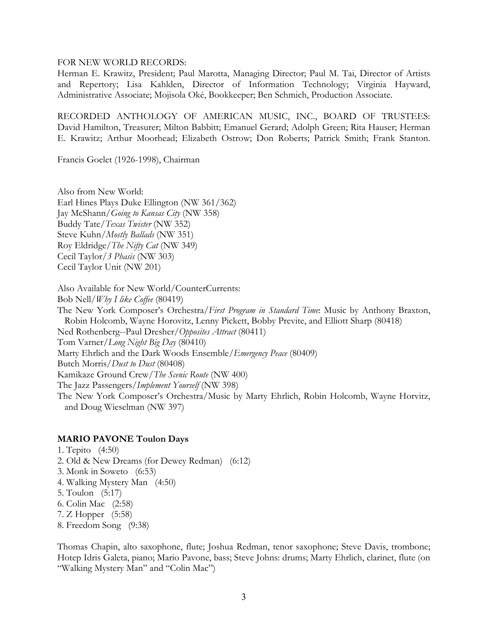FOR NEW WORLD RECORDS:

Herman E. Krawitz, President; Paul Marotta, Managing Director; Paul M. Tai, Director of Artists and Repertory; Lisa Kahlden, Director of Information Technology; Virginia Hayward, Administrative Associate; Mojisola Oké, Bookkeeper; Ben Schmich, Production Associate.

RECORDED ANTHOLOGY OF AMERICAN MUSIC, INC., BOARD OF TRUSTEES: David Hamilton, Treasurer; Milton Babbitt; Emanuel Gerard; Adolph Green; Rita Hauser; Herman E. Krawitz; Arthur Moorhead; Elizabeth Ostrow; Don Roberts; Patrick Smith; Frank Stanton.

Francis Goelet (1926-1998), Chairman

Also from New World: Earl Hines Plays Duke Ellington (NW 361/362) Jay McShann/*Going to Kansas City* (NW 358) Buddy Tate/*Texas Twister* (NW 352) Steve Kuhn/*Mostly Ballads* (NW 351) Roy Eldridge/*The Nifty Cat* (NW 349) Cecil Taylor/*3 Phasis* (NW 303) Cecil Taylor Unit (NW 201)

Also Available for New World/CounterCurrents:

Bob Nell/*Why I like Coffee* (80419)

The New York Composer's Orchestra/*First Program in Standard Time*: Music by Anthony Braxton, Robin Holcomb, Wayne Horovitz, Lenny Pickett, Bobby Previte, and Elliott Sharp (80418) Ned Rothenberg--Paul Dresher/*Opposites Attract* (80411) Tom Varner/*Long Night Big Day* (80410) Marty Ehrlich and the Dark Woods Ensemble/*Emergency Peace* (80409)

Butch Morris/*Dust to Dust* (80408)

Kamikaze Ground Crew/*The Scenic Route* (NW 400)

The Jazz Passengers/*Implement Yourself* (NW 398)

The New York Composer's Orchestra/Music by Marty Ehrlich, Robin Holcomb, Wayne Horvitz, and Doug Wieselman (NW 397)

## **MARIO PAVONE Toulon Days**

1. Tepito (4:50) 2. Old & New Dreams (for Dewey Redman) (6:12) 3. Monk in Soweto (6:53) 4. Walking Mystery Man (4:50) 5. Toulon (5:17) 6. Colin Mac (2:58) 7. Z Hopper (5:58) 8. Freedom Song (9:38)

Thomas Chapin, alto saxophone, flute; Joshua Redman, tenor saxophone; Steve Davis, trombone; Hotep Idris Galeta, piano; Mario Pavone, bass; Steve Johns: drums; Marty Ehrlich, clarinet, flute (on "Walking Mystery Man" and "Colin Mac")